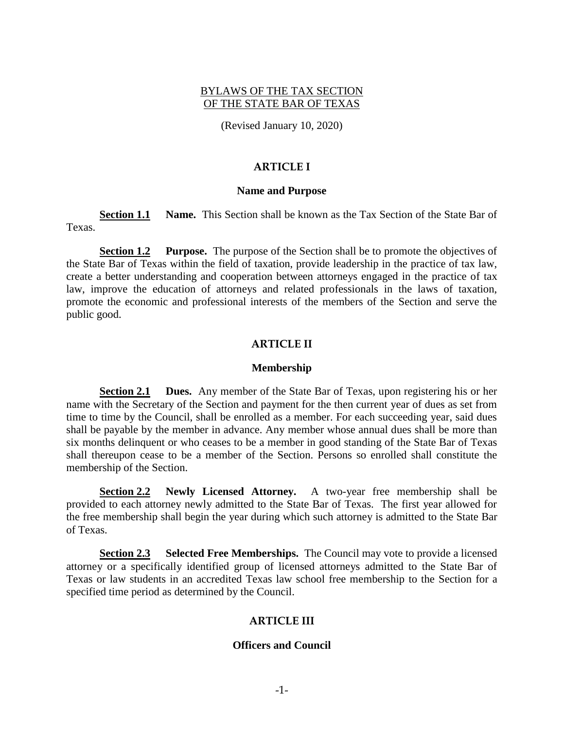# BYLAWS OF THE TAX SECTION OF THE STATE BAR OF TEXAS

(Revised January 10, 2020)

## **ARTICLE I**

#### **Name and Purpose**

**Section 1.1 Name.** This Section shall be known as the Tax Section of the State Bar of Texas.

<span id="page-0-0"></span>**Section 1.2 Purpose.** The purpose of the Section shall be to promote the objectives of the State Bar of Texas within the field of taxation, provide leadership in the practice of tax law, create a better understanding and cooperation between attorneys engaged in the practice of tax law, improve the education of attorneys and related professionals in the laws of taxation, promote the economic and professional interests of the members of the Section and serve the public good.

## **ARTICLE II**

#### **Membership**

**Section 2.1 Dues.** Any member of the State Bar of Texas, upon registering his or her name with the Secretary of the Section and payment for the then current year of dues as set from time to time by the Council, shall be enrolled as a member. For each succeeding year, said dues shall be payable by the member in advance. Any member whose annual dues shall be more than six months delinquent or who ceases to be a member in good standing of the State Bar of Texas shall thereupon cease to be a member of the Section. Persons so enrolled shall constitute the membership of the Section.

**Section 2.2 Newly Licensed Attorney.** A two-year free membership shall be provided to each attorney newly admitted to the State Bar of Texas. The first year allowed for the free membership shall begin the year during which such attorney is admitted to the State Bar of Texas.

**Section 2.3 Selected Free Memberships.** The Council may vote to provide a licensed attorney or a specifically identified group of licensed attorneys admitted to the State Bar of Texas or law students in an accredited Texas law school free membership to the Section for a specified time period as determined by the Council.

# **ARTICLE III**

#### **Officers and Council**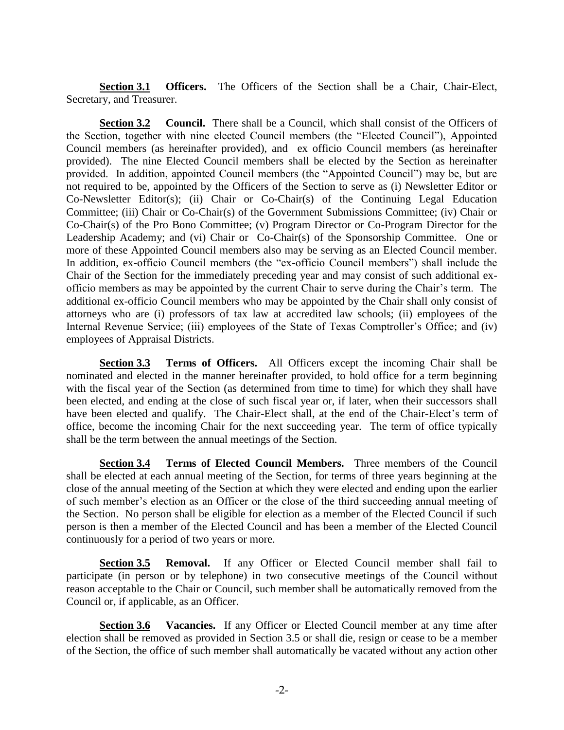**Section 3.1 Officers.** The Officers of the Section shall be a Chair, Chair-Elect, Secretary, and Treasurer.

<span id="page-1-1"></span>**Section 3.2 Council.** There shall be a Council, which shall consist of the Officers of the Section, together with nine elected Council members (the "Elected Council"), Appointed Council members (as hereinafter provided), and ex officio Council members (as hereinafter provided). The nine Elected Council members shall be elected by the Section as hereinafter provided. In addition, appointed Council members (the "Appointed Council") may be, but are not required to be, appointed by the Officers of the Section to serve as (i) Newsletter Editor or Co-Newsletter Editor(s); (ii) Chair or Co-Chair(s) of the Continuing Legal Education Committee; (iii) Chair or Co-Chair(s) of the Government Submissions Committee; (iv) Chair or Co-Chair(s) of the Pro Bono Committee; (v) Program Director or Co-Program Director for the Leadership Academy; and (vi) Chair or Co-Chair(s) of the Sponsorship Committee. One or more of these Appointed Council members also may be serving as an Elected Council member. In addition, ex-officio Council members (the "ex-officio Council members") shall include the Chair of the Section for the immediately preceding year and may consist of such additional exofficio members as may be appointed by the current Chair to serve during the Chair's term. The additional ex-officio Council members who may be appointed by the Chair shall only consist of attorneys who are (i) professors of tax law at accredited law schools; (ii) employees of the Internal Revenue Service; (iii) employees of the State of Texas Comptroller's Office; and (iv) employees of Appraisal Districts.

**Section 3.3 Terms of Officers.** All Officers except the incoming Chair shall be nominated and elected in the manner hereinafter provided, to hold office for a term beginning with the fiscal year of the Section (as determined from time to time) for which they shall have been elected, and ending at the close of such fiscal year or, if later, when their successors shall have been elected and qualify. The Chair-Elect shall, at the end of the Chair-Elect's term of office, become the incoming Chair for the next succeeding year. The term of office typically shall be the term between the annual meetings of the Section.

**Section 3.4 Terms of Elected Council Members.** Three members of the Council shall be elected at each annual meeting of the Section, for terms of three years beginning at the close of the annual meeting of the Section at which they were elected and ending upon the earlier of such member's election as an Officer or the close of the third succeeding annual meeting of the Section. No person shall be eligible for election as a member of the Elected Council if such person is then a member of the Elected Council and has been a member of the Elected Council continuously for a period of two years or more.

<span id="page-1-0"></span>**Section 3.5 • Removal.** If any Officer or Elected Council member shall fail to participate (in person or by telephone) in two consecutive meetings of the Council without reason acceptable to the Chair or Council, such member shall be automatically removed from the Council or, if applicable, as an Officer.

**Section 3.6 Vacancies.** If any Officer or Elected Council member at any time after election shall be removed as provided in [Section 3.5](#page-1-0) or shall die, resign or cease to be a member of the Section, the office of such member shall automatically be vacated without any action other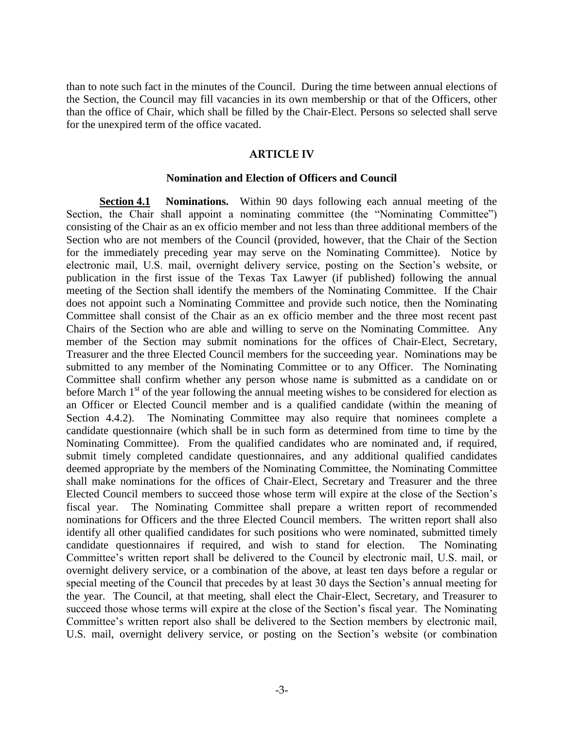than to note such fact in the minutes of the Council. During the time between annual elections of the Section, the Council may fill vacancies in its own membership or that of the Officers, other than the office of Chair, which shall be filled by the Chair-Elect. Persons so selected shall serve for the unexpired term of the office vacated.

### **ARTICLE IV**

#### **Nomination and Election of Officers and Council**

**Section 4.1 Nominations.** Within 90 days following each annual meeting of the Section, the Chair shall appoint a nominating committee (the "Nominating Committee") consisting of the Chair as an ex officio member and not less than three additional members of the Section who are not members of the Council (provided, however, that the Chair of the Section for the immediately preceding year may serve on the Nominating Committee). Notice by electronic mail, U.S. mail, overnight delivery service, posting on the Section's website, or publication in the first issue of the Texas Tax Lawyer (if published) following the annual meeting of the Section shall identify the members of the Nominating Committee. If the Chair does not appoint such a Nominating Committee and provide such notice, then the Nominating Committee shall consist of the Chair as an ex officio member and the three most recent past Chairs of the Section who are able and willing to serve on the Nominating Committee. Any member of the Section may submit nominations for the offices of Chair-Elect, Secretary, Treasurer and the three Elected Council members for the succeeding year. Nominations may be submitted to any member of the Nominating Committee or to any Officer. The Nominating Committee shall confirm whether any person whose name is submitted as a candidate on or before March  $1<sup>st</sup>$  of the year following the annual meeting wishes to be considered for election as an Officer or Elected Council member and is a qualified candidate (within the meaning of Section 4.4.2). The Nominating Committee may also require that nominees complete a candidate questionnaire (which shall be in such form as determined from time to time by the Nominating Committee). From the qualified candidates who are nominated and, if required, submit timely completed candidate questionnaires, and any additional qualified candidates deemed appropriate by the members of the Nominating Committee, the Nominating Committee shall make nominations for the offices of Chair-Elect, Secretary and Treasurer and the three Elected Council members to succeed those whose term will expire at the close of the Section's fiscal year. The Nominating Committee shall prepare a written report of recommended nominations for Officers and the three Elected Council members. The written report shall also identify all other qualified candidates for such positions who were nominated, submitted timely candidate questionnaires if required, and wish to stand for election. The Nominating Committee's written report shall be delivered to the Council by electronic mail, U.S. mail, or overnight delivery service, or a combination of the above, at least ten days before a regular or special meeting of the Council that precedes by at least 30 days the Section's annual meeting for the year. The Council, at that meeting, shall elect the Chair-Elect, Secretary, and Treasurer to succeed those whose terms will expire at the close of the Section's fiscal year. The Nominating Committee's written report also shall be delivered to the Section members by electronic mail, U.S. mail, overnight delivery service, or posting on the Section's website (or combination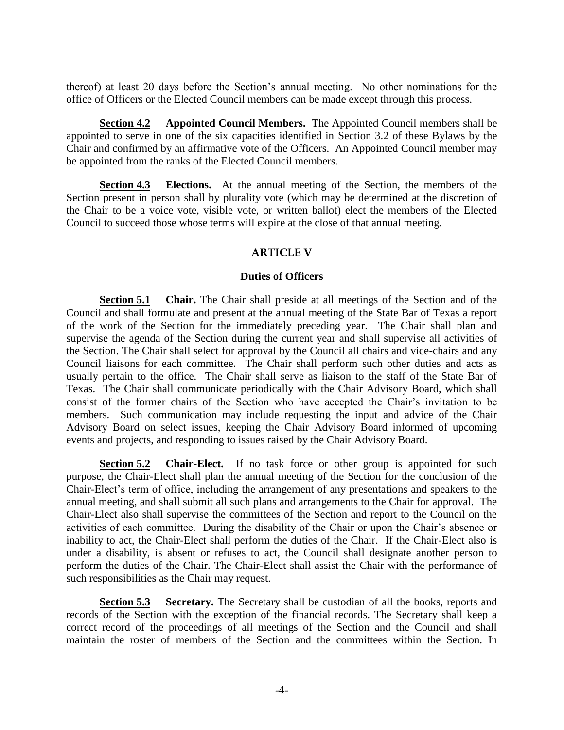thereof) at least 20 days before the Section's annual meeting. No other nominations for the office of Officers or the Elected Council members can be made except through this process.

**Section 4.2 Appointed Council Members.** The Appointed Council members shall be appointed to serve in one of the six capacities identified in [Section 3.2](#page-1-1) of these Bylaws by the Chair and confirmed by an affirmative vote of the Officers. An Appointed Council member may be appointed from the ranks of the Elected Council members.

<span id="page-3-0"></span>**Section 4.3 Elections.** At the annual meeting of the Section, the members of the Section present in person shall by plurality vote (which may be determined at the discretion of the Chair to be a voice vote, visible vote, or written ballot) elect the members of the Elected Council to succeed those whose terms will expire at the close of that annual meeting.

# **ARTICLE V**

## **Duties of Officers**

**Section 5.1 Chair.** The Chair shall preside at all meetings of the Section and of the Council and shall formulate and present at the annual meeting of the State Bar of Texas a report of the work of the Section for the immediately preceding year. The Chair shall plan and supervise the agenda of the Section during the current year and shall supervise all activities of the Section. The Chair shall select for approval by the Council all chairs and vice-chairs and any Council liaisons for each committee. The Chair shall perform such other duties and acts as usually pertain to the office. The Chair shall serve as liaison to the staff of the State Bar of Texas. The Chair shall communicate periodically with the Chair Advisory Board, which shall consist of the former chairs of the Section who have accepted the Chair's invitation to be members. Such communication may include requesting the input and advice of the Chair Advisory Board on select issues, keeping the Chair Advisory Board informed of upcoming events and projects, and responding to issues raised by the Chair Advisory Board.

**Section 5.2 Chair-Elect.** If no task force or other group is appointed for such purpose, the Chair-Elect shall plan the annual meeting of the Section for the conclusion of the Chair-Elect's term of office, including the arrangement of any presentations and speakers to the annual meeting, and shall submit all such plans and arrangements to the Chair for approval. The Chair-Elect also shall supervise the committees of the Section and report to the Council on the activities of each committee. During the disability of the Chair or upon the Chair's absence or inability to act, the Chair-Elect shall perform the duties of the Chair. If the Chair-Elect also is under a disability, is absent or refuses to act, the Council shall designate another person to perform the duties of the Chair. The Chair-Elect shall assist the Chair with the performance of such responsibilities as the Chair may request.

**Section 5.3 Secretary.** The Secretary shall be custodian of all the books, reports and records of the Section with the exception of the financial records. The Secretary shall keep a correct record of the proceedings of all meetings of the Section and the Council and shall maintain the roster of members of the Section and the committees within the Section. In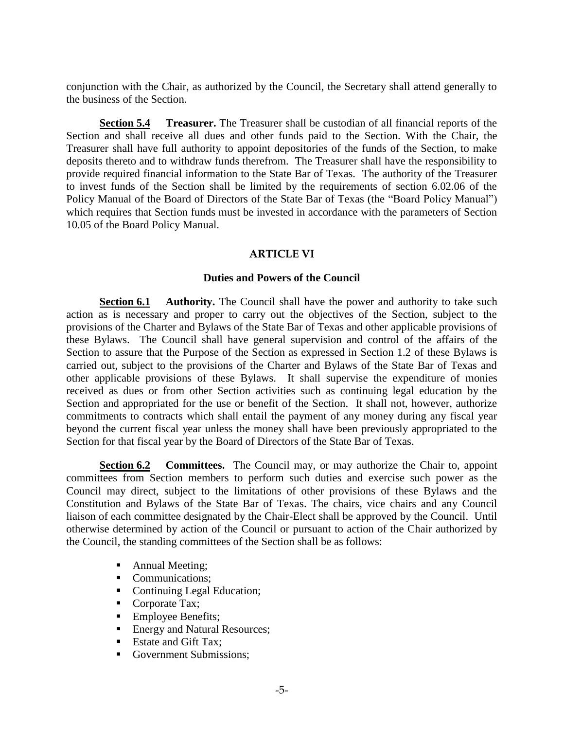conjunction with the Chair, as authorized by the Council, the Secretary shall attend generally to the business of the Section.

**Section 5.4 Treasurer.** The Treasurer shall be custodian of all financial reports of the Section and shall receive all dues and other funds paid to the Section. With the Chair, the Treasurer shall have full authority to appoint depositories of the funds of the Section, to make deposits thereto and to withdraw funds therefrom. The Treasurer shall have the responsibility to provide required financial information to the State Bar of Texas. The authority of the Treasurer to invest funds of the Section shall be limited by the requirements of section 6.02.06 of the Policy Manual of the Board of Directors of the State Bar of Texas (the "Board Policy Manual") which requires that Section funds must be invested in accordance with the parameters of Section 10.05 of the Board Policy Manual.

# **ARTICLE VI**

# **Duties and Powers of the Council**

**Section 6.1 Authority.** The Council shall have the power and authority to take such action as is necessary and proper to carry out the objectives of the Section, subject to the provisions of the Charter and Bylaws of the State Bar of Texas and other applicable provisions of these Bylaws. The Council shall have general supervision and control of the affairs of the Section to assure that the Purpose of the Section as expressed in [Section 1.2](#page-0-0) of these Bylaws is carried out, subject to the provisions of the Charter and Bylaws of the State Bar of Texas and other applicable provisions of these Bylaws. It shall supervise the expenditure of monies received as dues or from other Section activities such as continuing legal education by the Section and appropriated for the use or benefit of the Section. It shall not, however, authorize commitments to contracts which shall entail the payment of any money during any fiscal year beyond the current fiscal year unless the money shall have been previously appropriated to the Section for that fiscal year by the Board of Directors of the State Bar of Texas.

**Section 6.2 Committees.** The Council may, or may authorize the Chair to, appoint committees from Section members to perform such duties and exercise such power as the Council may direct, subject to the limitations of other provisions of these Bylaws and the Constitution and Bylaws of the State Bar of Texas. The chairs, vice chairs and any Council liaison of each committee designated by the Chair-Elect shall be approved by the Council. Until otherwise determined by action of the Council or pursuant to action of the Chair authorized by the Council, the standing committees of the Section shall be as follows:

- Annual Meeting;
- Communications;
- Continuing Legal Education;
- Corporate Tax;
- Employee Benefits;
- Energy and Natural Resources;
- Estate and Gift Tax:
- Government Submissions;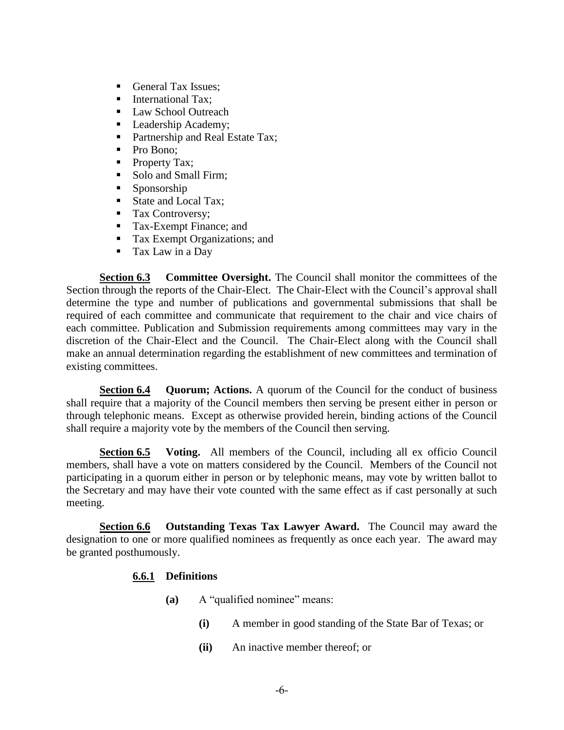- General Tax Issues;
- International Tax:
- **Law School Outreach**
- **Leadership Academy;**
- Partnership and Real Estate Tax;
- Pro Bono;
- Property Tax;
- Solo and Small Firm;
- Sponsorship
- State and Local Tax;
- Tax Controversy;
- Tax-Exempt Finance; and
- Tax Exempt Organizations; and
- Tax Law in a Day

**Section 6.3 Committee Oversight.** The Council shall monitor the committees of the Section through the reports of the Chair-Elect. The Chair-Elect with the Council's approval shall determine the type and number of publications and governmental submissions that shall be required of each committee and communicate that requirement to the chair and vice chairs of each committee. Publication and Submission requirements among committees may vary in the discretion of the Chair-Elect and the Council. The Chair-Elect along with the Council shall make an annual determination regarding the establishment of new committees and termination of existing committees.

**Section 6.4 Quorum; Actions.** A quorum of the Council for the conduct of business shall require that a majority of the Council members then serving be present either in person or through telephonic means. Except as otherwise provided herein, binding actions of the Council shall require a majority vote by the members of the Council then serving.

**Section 6.5 Voting.** All members of the Council, including all ex officio Council members, shall have a vote on matters considered by the Council. Members of the Council not participating in a quorum either in person or by telephonic means, may vote by written ballot to the Secretary and may have their vote counted with the same effect as if cast personally at such meeting.

**Section 6.6 Outstanding Texas Tax Lawyer Award.** The Council may award the designation to one or more qualified nominees as frequently as once each year. The award may be granted posthumously.

# **6.6.1 Definitions**

- **(a)** A "qualified nominee" means:
	- **(i)** A member in good standing of the State Bar of Texas; or
	- **(ii)** An inactive member thereof; or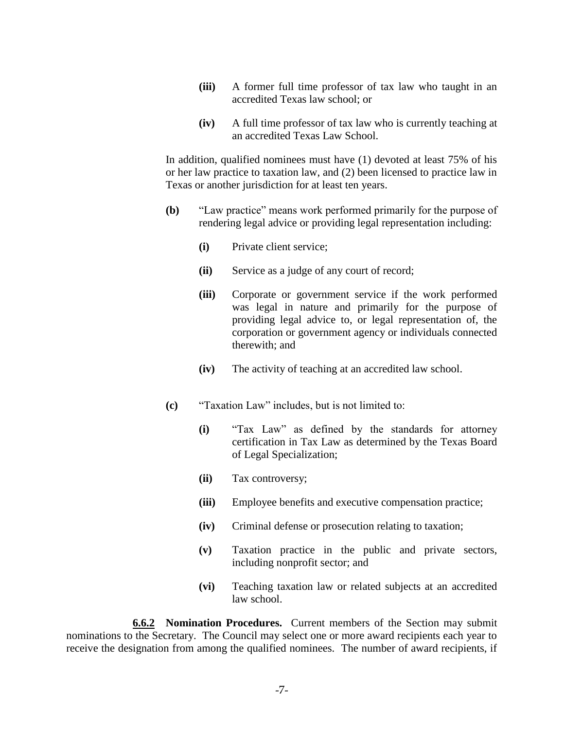- **(iii)** A former full time professor of tax law who taught in an accredited Texas law school; or
- **(iv)** A full time professor of tax law who is currently teaching at an accredited Texas Law School.

In addition, qualified nominees must have (1) devoted at least 75% of his or her law practice to taxation law, and (2) been licensed to practice law in Texas or another jurisdiction for at least ten years.

- **(b)** "Law practice" means work performed primarily for the purpose of rendering legal advice or providing legal representation including:
	- **(i)** Private client service;
	- **(ii)** Service as a judge of any court of record;
	- **(iii)** Corporate or government service if the work performed was legal in nature and primarily for the purpose of providing legal advice to, or legal representation of, the corporation or government agency or individuals connected therewith; and
	- **(iv)** The activity of teaching at an accredited law school.
- **(c)** "Taxation Law" includes, but is not limited to:
	- **(i)** "Tax Law" as defined by the standards for attorney certification in Tax Law as determined by the Texas Board of Legal Specialization;
	- **(ii)** Tax controversy;
	- **(iii)** Employee benefits and executive compensation practice;
	- **(iv)** Criminal defense or prosecution relating to taxation;
	- **(v)** Taxation practice in the public and private sectors, including nonprofit sector; and
	- **(vi)** Teaching taxation law or related subjects at an accredited law school.

**6.6.2 Nomination Procedures.** Current members of the Section may submit nominations to the Secretary. The Council may select one or more award recipients each year to receive the designation from among the qualified nominees. The number of award recipients, if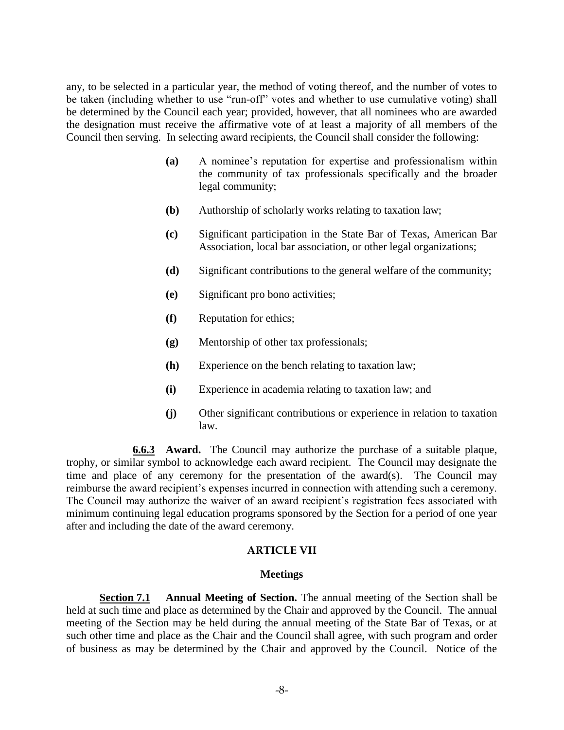any, to be selected in a particular year, the method of voting thereof, and the number of votes to be taken (including whether to use "run-off" votes and whether to use cumulative voting) shall be determined by the Council each year; provided, however, that all nominees who are awarded the designation must receive the affirmative vote of at least a majority of all members of the Council then serving. In selecting award recipients, the Council shall consider the following:

- **(a)** A nominee's reputation for expertise and professionalism within the community of tax professionals specifically and the broader legal community;
- **(b)** Authorship of scholarly works relating to taxation law;
- **(c)** Significant participation in the State Bar of Texas, American Bar Association, local bar association, or other legal organizations;
- **(d)** Significant contributions to the general welfare of the community;
- **(e)** Significant pro bono activities;
- **(f)** Reputation for ethics;
- **(g)** Mentorship of other tax professionals;
- **(h)** Experience on the bench relating to taxation law;
- **(i)** Experience in academia relating to taxation law; and
- **(j)** Other significant contributions or experience in relation to taxation law.

**6.6.3 Award.** The Council may authorize the purchase of a suitable plaque, trophy, or similar symbol to acknowledge each award recipient. The Council may designate the time and place of any ceremony for the presentation of the award(s). The Council may reimburse the award recipient's expenses incurred in connection with attending such a ceremony. The Council may authorize the waiver of an award recipient's registration fees associated with minimum continuing legal education programs sponsored by the Section for a period of one year after and including the date of the award ceremony.

# **ARTICLE VII**

# **Meetings**

**Section 7.1 Annual Meeting of Section.** The annual meeting of the Section shall be held at such time and place as determined by the Chair and approved by the Council. The annual meeting of the Section may be held during the annual meeting of the State Bar of Texas, or at such other time and place as the Chair and the Council shall agree, with such program and order of business as may be determined by the Chair and approved by the Council. Notice of the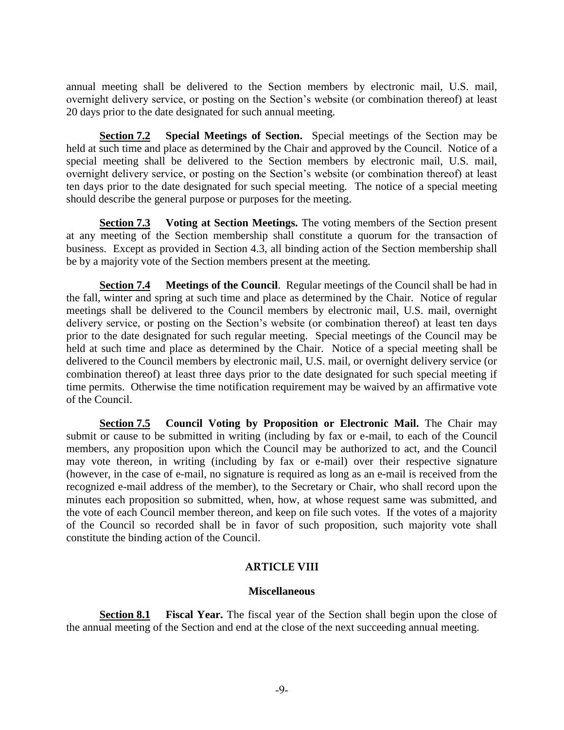annual meeting shall be delivered to the Section members by electronic mail, U.S. mail, overnight delivery service, or posting on the Section's website (or combination thereof) at least 20 days prior to the date designated for such annual meeting.

**Section 7.2 Special Meetings of Section.** Special meetings of the Section may be held at such time and place as determined by the Chair and approved by the Council. Notice of a special meeting shall be delivered to the Section members by electronic mail, U.S. mail, overnight delivery service, or posting on the Section's website (or combination thereof) at least ten days prior to the date designated for such special meeting. The notice of a special meeting should describe the general purpose or purposes for the meeting.

**Section 7.3 Voting at Section Meetings.** The voting members of the Section present at any meeting of the Section membership shall constitute a quorum for the transaction of business. Except as provided in [Section 4.3,](#page-3-0) all binding action of the Section membership shall be by a majority vote of the Section members present at the meeting.

**Section 7.4 Meetings of the Council**. Regular meetings of the Council shall be had in the fall, winter and spring at such time and place as determined by the Chair. Notice of regular meetings shall be delivered to the Council members by electronic mail, U.S. mail, overnight delivery service, or posting on the Section's website (or combination thereof) at least ten days prior to the date designated for such regular meeting. Special meetings of the Council may be held at such time and place as determined by the Chair. Notice of a special meeting shall be delivered to the Council members by electronic mail, U.S. mail, or overnight delivery service (or combination thereof) at least three days prior to the date designated for such special meeting if time permits. Otherwise the time notification requirement may be waived by an affirmative vote of the Council.

**Section 7.5 Council Voting by Proposition or Electronic Mail.** The Chair may submit or cause to be submitted in writing (including by fax or e-mail, to each of the Council members, any proposition upon which the Council may be authorized to act, and the Council may vote thereon, in writing (including by fax or e-mail) over their respective signature (however, in the case of e-mail, no signature is required as long as an e-mail is received from the recognized e-mail address of the member), to the Secretary or Chair, who shall record upon the minutes each proposition so submitted, when, how, at whose request same was submitted, and the vote of each Council member thereon, and keep on file such votes. If the votes of a majority of the Council so recorded shall be in favor of such proposition, such majority vote shall constitute the binding action of the Council.

# **ARTICLE VIII**

# **Miscellaneous**

**Section 8.1 Fiscal Year.** The fiscal year of the Section shall begin upon the close of the annual meeting of the Section and end at the close of the next succeeding annual meeting.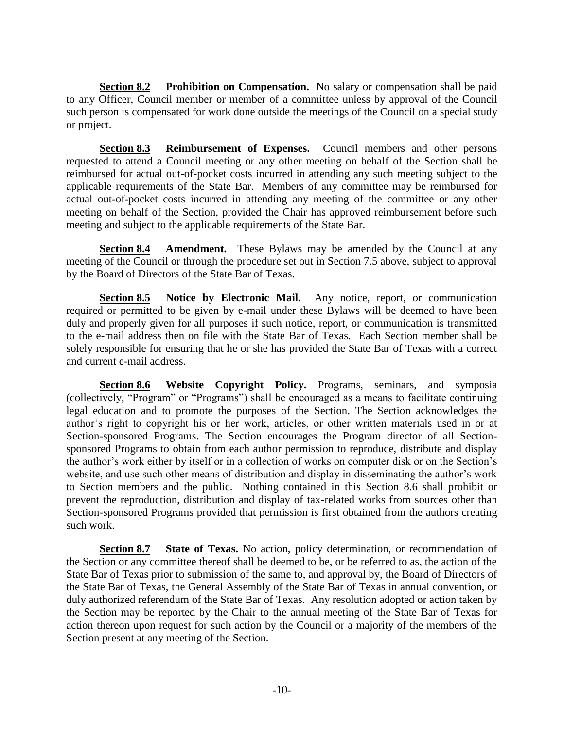**Section 8.2 Prohibition on Compensation.** No salary or compensation shall be paid to any Officer, Council member or member of a committee unless by approval of the Council such person is compensated for work done outside the meetings of the Council on a special study or project.

**Section 8.3 Reimbursement of Expenses.** Council members and other persons requested to attend a Council meeting or any other meeting on behalf of the Section shall be reimbursed for actual out-of-pocket costs incurred in attending any such meeting subject to the applicable requirements of the State Bar. Members of any committee may be reimbursed for actual out-of-pocket costs incurred in attending any meeting of the committee or any other meeting on behalf of the Section, provided the Chair has approved reimbursement before such meeting and subject to the applicable requirements of the State Bar.

**Section 8.4 Amendment.** These Bylaws may be amended by the Council at any meeting of the Council or through the procedure set out in Section 7.5 above, subject to approval by the Board of Directors of the State Bar of Texas.

**Section 8.5 Notice by Electronic Mail.** Any notice, report, or communication required or permitted to be given by e-mail under these Bylaws will be deemed to have been duly and properly given for all purposes if such notice, report, or communication is transmitted to the e-mail address then on file with the State Bar of Texas. Each Section member shall be solely responsible for ensuring that he or she has provided the State Bar of Texas with a correct and current e-mail address.

<span id="page-9-0"></span>**Section 8.6 Website Copyright Policy.** Programs, seminars, and symposia (collectively, "Program" or "Programs") shall be encouraged as a means to facilitate continuing legal education and to promote the purposes of the Section. The Section acknowledges the author's right to copyright his or her work, articles, or other written materials used in or at Section-sponsored Programs. The Section encourages the Program director of all Sectionsponsored Programs to obtain from each author permission to reproduce, distribute and display the author's work either by itself or in a collection of works on computer disk or on the Section's website, and use such other means of distribution and display in disseminating the author's work to Section members and the public. Nothing contained in this [Section 8.6](#page-9-0) shall prohibit or prevent the reproduction, distribution and display of tax-related works from sources other than Section-sponsored Programs provided that permission is first obtained from the authors creating such work.

**Section 8.7 State of Texas.** No action, policy determination, or recommendation of the Section or any committee thereof shall be deemed to be, or be referred to as, the action of the State Bar of Texas prior to submission of the same to, and approval by, the Board of Directors of the State Bar of Texas, the General Assembly of the State Bar of Texas in annual convention, or duly authorized referendum of the State Bar of Texas. Any resolution adopted or action taken by the Section may be reported by the Chair to the annual meeting of the State Bar of Texas for action thereon upon request for such action by the Council or a majority of the members of the Section present at any meeting of the Section.